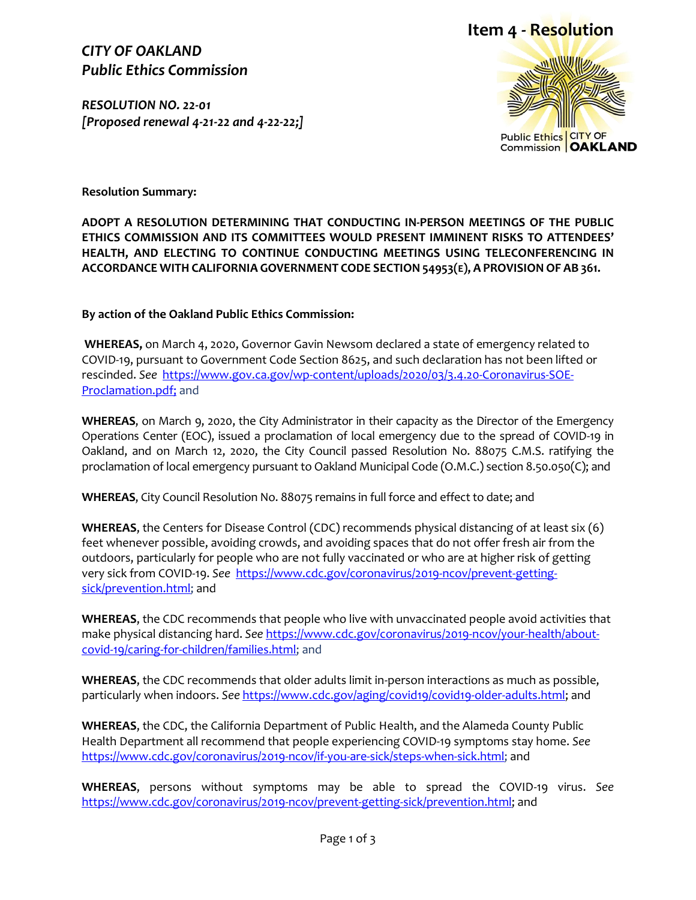### *CITY OF OAKLAND Public Ethics Commission*

*RESOLUTION NO. 22-01 [Proposed renewal 4-21-22 and 4-22-22;]*



Public Ethics CITY OF<br>Commission **OAKLAND** 

**Resolution Summary:**

**ADOPT A RESOLUTION DETERMINING THAT CONDUCTING IN-PERSON MEETINGS OF THE PUBLIC ETHICS COMMISSION AND ITS COMMITTEES WOULD PRESENT IMMINENT RISKS TO ATTENDEES' HEALTH, AND ELECTING TO CONTINUE CONDUCTING MEETINGS USING TELECONFERENCING IN ACCORDANCE WITH CALIFORNIA GOVERNMENT CODE SECTION 54953(E), A PROVISION OF AB 361.**

**By action of the Oakland Public Ethics Commission:**

**WHEREAS,** on March 4, 2020, Governor Gavin Newsom declared a state of emergency related to COVID-19, pursuant to Government Code Section 8625, and such declaration has not been lifted or rescinded. *See* [https://www.gov.ca.gov/wp-content/uploads/2020/03/3.4.20-Coronavirus-SOE-](https://www.gov.ca.gov/wp-content/uploads/2020/03/3.4.20-Coronavirus-SOE-Proclamation.pdf)[Proclamation.pdf;](https://www.gov.ca.gov/wp-content/uploads/2020/03/3.4.20-Coronavirus-SOE-Proclamation.pdf) and

**WHEREAS**, on March 9, 2020, the City Administrator in their capacity as the Director of the Emergency Operations Center (EOC), issued a proclamation of local emergency due to the spread of COVID-19 in Oakland, and on March 12, 2020, the City Council passed Resolution No. 88075 C.M.S. ratifying the proclamation of local emergency pursuant to Oakland Municipal Code (O.M.C.) section 8.50.050(C); and

**WHEREAS**, City Council Resolution No. 88075 remains in full force and effect to date; and

**WHEREAS**, the Centers for Disease Control (CDC) recommends physical distancing of at least six (6) feet whenever possible, avoiding crowds, and avoiding spaces that do not offer fresh air from the outdoors, particularly for people who are not fully vaccinated or who are at higher risk of getting very sick from COVID-19. *See* [https://www.cdc.gov/coronavirus/2019-ncov/prevent-getting](https://www.cdc.gov/coronavirus/2019-ncov/prevent-getting-sick/prevention.html)[sick/prevention.html;](https://www.cdc.gov/coronavirus/2019-ncov/prevent-getting-sick/prevention.html) and

**WHEREAS**, the CDC recommends that people who live with unvaccinated people avoid activities that make physical distancing hard. *See* [https://www.cdc.gov/coronavirus/2019-ncov/your-health/about](https://www.cdc.gov/coronavirus/2019-ncov/your-health/about-covid-19/caring-for-children/families.html)[covid-19/caring-for-children/families.html;](https://www.cdc.gov/coronavirus/2019-ncov/your-health/about-covid-19/caring-for-children/families.html) and

**WHEREAS**, the CDC recommends that older adults limit in-person interactions as much as possible, particularly when indoors. *See* [https://www.cdc.gov/aging/covid19/covid19-older-adults.html;](https://www.cdc.gov/aging/covid19/covid19-older-adults.html) and

**WHEREAS**, the CDC, the California Department of Public Health, and the Alameda County Public Health Department all recommend that people experiencing COVID-19 symptoms stay home. *See* [https://www.cdc.gov/coronavirus/2019-ncov/if-you-are-sick/steps-when-sick.html;](https://www.cdc.gov/coronavirus/2019-ncov/if-you-are-sick/steps-when-sick.html) and

**WHEREAS**, persons without symptoms may be able to spread the COVID-19 virus. *See*  [https://www.cdc.gov/coronavirus/2019-ncov/prevent-getting-sick/prevention.html;](https://www.cdc.gov/coronavirus/2019-ncov/prevent-getting-sick/prevention.html) and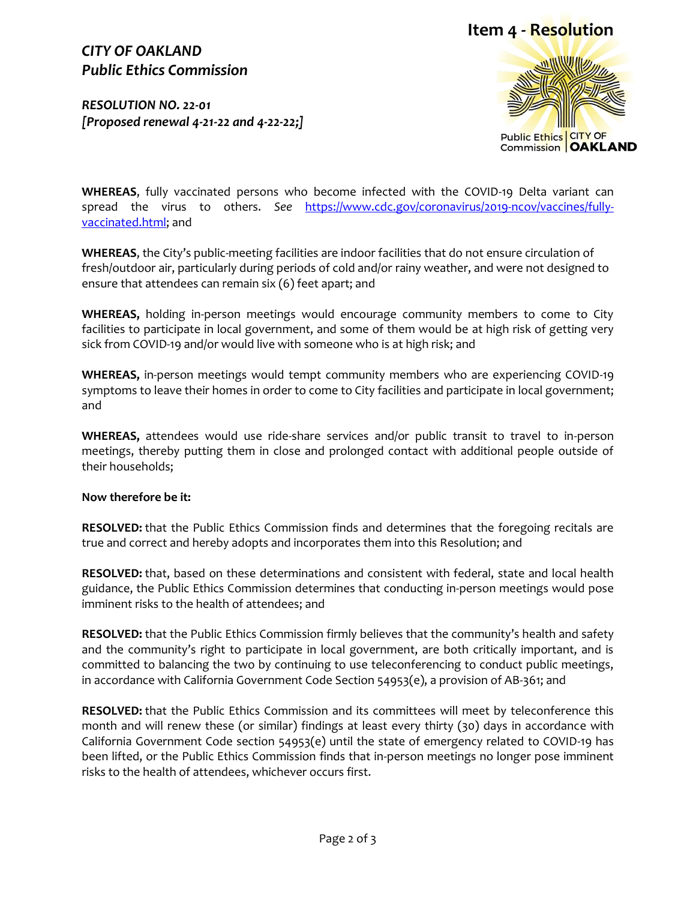# **Item 4 - Resolution**

# *CITY OF OAKLAND Public Ethics Commission*

*RESOLUTION NO. 22-01 [Proposed renewal 4-21-22 and 4-22-22;]*



**WHEREAS**, fully vaccinated persons who become infected with the COVID-19 Delta variant can spread the virus to others. *See* [https://www.cdc.gov/coronavirus/2019-ncov/vaccines/fully](https://www.cdc.gov/coronavirus/2019-ncov/vaccines/fully-vaccinated.html)[vaccinated.html;](https://www.cdc.gov/coronavirus/2019-ncov/vaccines/fully-vaccinated.html) and

**WHEREAS**, the City's public-meeting facilities are indoor facilities that do not ensure circulation of fresh/outdoor air, particularly during periods of cold and/or rainy weather, and were not designed to ensure that attendees can remain six (6) feet apart; and

**WHEREAS,** holding in-person meetings would encourage community members to come to City facilities to participate in local government, and some of them would be at high risk of getting very sick from COVID-19 and/or would live with someone who is at high risk; and

**WHEREAS,** in-person meetings would tempt community members who are experiencing COVID-19 symptoms to leave their homes in order to come to City facilities and participate in local government; and

**WHEREAS,** attendees would use ride-share services and/or public transit to travel to in-person meetings, thereby putting them in close and prolonged contact with additional people outside of their households;

#### **Now therefore be it:**

**RESOLVED:** that the Public Ethics Commission finds and determines that the foregoing recitals are true and correct and hereby adopts and incorporates them into this Resolution; and

**RESOLVED:** that, based on these determinations and consistent with federal, state and local health guidance, the Public Ethics Commission determines that conducting in-person meetings would pose imminent risks to the health of attendees; and

**RESOLVED:** that the Public Ethics Commission firmly believes that the community's health and safety and the community's right to participate in local government, are both critically important, and is committed to balancing the two by continuing to use teleconferencing to conduct public meetings, in accordance with California Government Code Section 54953(e), a provision of AB-361; and

**RESOLVED:** that the Public Ethics Commission and its committees will meet by teleconference this month and will renew these (or similar) findings at least every thirty (30) days in accordance with California Government Code section 54953(e) until the state of emergency related to COVID-19 has been lifted, or the Public Ethics Commission finds that in-person meetings no longer pose imminent risks to the health of attendees, whichever occurs first.